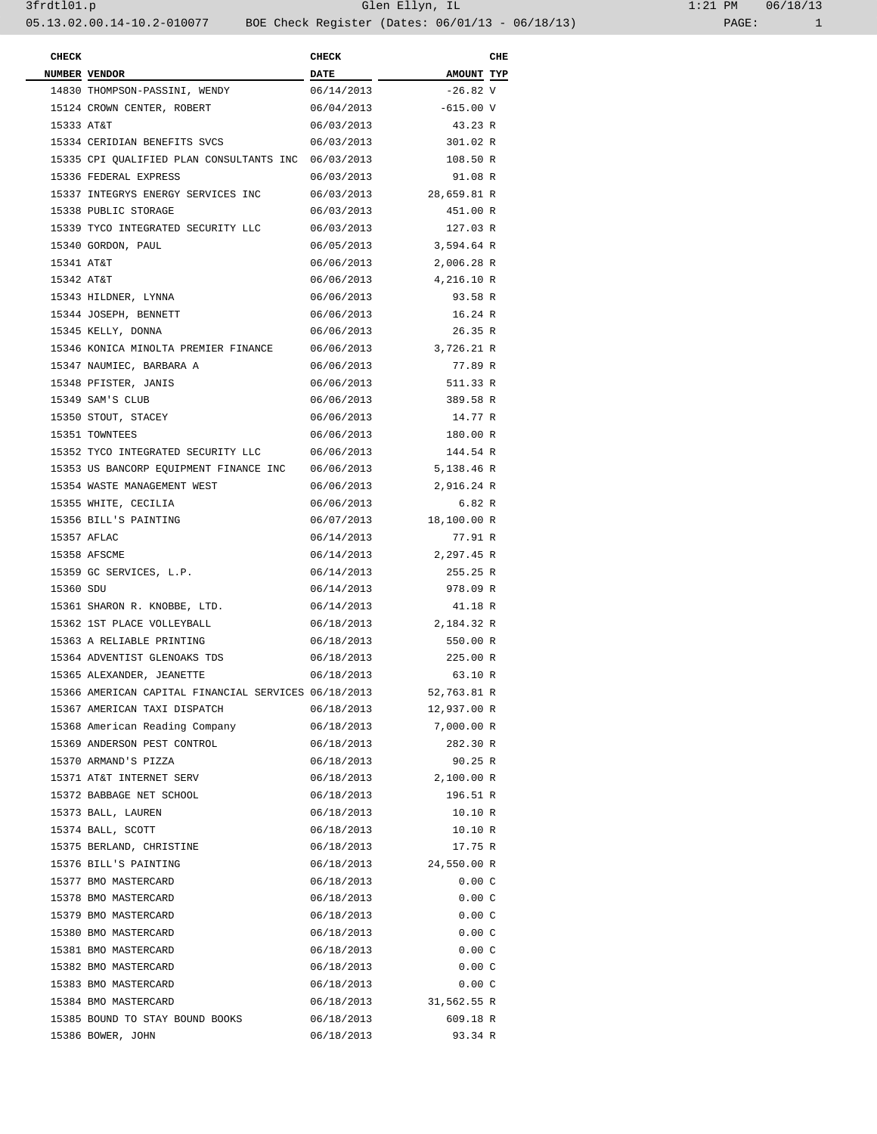| <b>CHECK</b> |                                                      | <b>CHECK</b> |             | CHE |
|--------------|------------------------------------------------------|--------------|-------------|-----|
|              | NUMBER VENDOR                                        | <b>DATE</b>  | AMOUNT TYP  |     |
|              | 14830 THOMPSON-PASSINI, WENDY                        | 06/14/2013   | $-26.82$ V  |     |
|              | 15124 CROWN CENTER, ROBERT                           | 06/04/2013   | $-615.00 V$ |     |
| 15333 AT&T   |                                                      | 06/03/2013   | 43.23 R     |     |
|              | 15334 CERIDIAN BENEFITS SVCS                         | 06/03/2013   | 301.02 R    |     |
|              | 15335 CPI QUALIFIED PLAN CONSULTANTS INC 06/03/2013  |              | 108.50 R    |     |
|              | 15336 FEDERAL EXPRESS                                | 06/03/2013   | 91.08 R     |     |
|              | 15337 INTEGRYS ENERGY SERVICES INC                   | 06/03/2013   | 28,659.81 R |     |
|              | 15338 PUBLIC STORAGE                                 | 06/03/2013   | 451.00 R    |     |
|              | 15339 TYCO INTEGRATED SECURITY LLC                   | 06/03/2013   | 127.03 R    |     |
|              | 15340 GORDON, PAUL                                   | 06/05/2013   | 3,594.64 R  |     |
| 15341 AT&T   |                                                      | 06/06/2013   | 2,006.28 R  |     |
| 15342 AT&T   |                                                      | 06/06/2013   | 4,216.10 R  |     |
|              | 15343 HILDNER, LYNNA                                 | 06/06/2013   | 93.58 R     |     |
|              | 15344 JOSEPH, BENNETT                                |              | 16.24 R     |     |
|              |                                                      | 06/06/2013   |             |     |
|              | 15345 KELLY, DONNA                                   | 06/06/2013   | 26.35 R     |     |
|              | 15346 KONICA MINOLTA PREMIER FINANCE                 | 06/06/2013   | 3,726.21 R  |     |
|              | 15347 NAUMIEC, BARBARA A                             | 06/06/2013   | 77.89 R     |     |
|              | 15348 PFISTER, JANIS                                 | 06/06/2013   | 511.33 R    |     |
|              | 15349 SAM'S CLUB                                     | 06/06/2013   | 389.58 R    |     |
|              | 15350 STOUT, STACEY                                  | 06/06/2013   | 14.77 R     |     |
|              | 15351 TOWNTEES                                       | 06/06/2013   | 180.00 R    |     |
|              | 15352 TYCO INTEGRATED SECURITY LLC                   | 06/06/2013   | 144.54 R    |     |
|              | 15353 US BANCORP EQUIPMENT FINANCE INC               | 06/06/2013   | 5,138.46 R  |     |
|              | 15354 WASTE MANAGEMENT WEST                          | 06/06/2013   | 2,916.24 R  |     |
|              | 15355 WHITE, CECILIA                                 | 06/06/2013   | 6.82R       |     |
|              | 15356 BILL'S PAINTING                                | 06/07/2013   | 18,100.00 R |     |
|              | 15357 AFLAC                                          | 06/14/2013   | 77.91 R     |     |
|              | 15358 AFSCME                                         | 06/14/2013   | 2,297.45 R  |     |
|              | 15359 GC SERVICES, L.P.                              | 06/14/2013   | 255.25 R    |     |
| 15360 SDU    |                                                      | 06/14/2013   | 978.09 R    |     |
|              | 15361 SHARON R. KNOBBE, LTD.                         | 06/14/2013   | 41.18 R     |     |
|              | 15362 1ST PLACE VOLLEYBALL                           | 06/18/2013   | 2,184.32 R  |     |
|              | 15363 A RELIABLE PRINTING                            | 06/18/2013   | 550.00 R    |     |
|              | 15364 ADVENTIST GLENOAKS TDS                         | 06/18/2013   | 225.00 R    |     |
|              | 15365 ALEXANDER, JEANETTE                            | 06/18/2013   | 63.10 R     |     |
|              | 15366 AMERICAN CAPITAL FINANCIAL SERVICES 06/18/2013 |              | 52,763.81 R |     |
|              | 15367 AMERICAN TAXI DISPATCH                         | 06/18/2013   | 12,937.00 R |     |
|              | 15368 American Reading Company                       | 06/18/2013   | 7,000.00 R  |     |
|              | 15369 ANDERSON PEST CONTROL                          | 06/18/2013   | 282.30 R    |     |
|              | 15370 ARMAND'S PIZZA                                 | 06/18/2013   | 90.25 R     |     |
|              | 15371 AT&T INTERNET SERV                             |              | 2,100.00 R  |     |
|              |                                                      | 06/18/2013   |             |     |
|              | 15372 BABBAGE NET SCHOOL                             | 06/18/2013   | 196.51 R    |     |
|              | 15373 BALL, LAUREN                                   | 06/18/2013   | 10.10 R     |     |
|              | 15374 BALL, SCOTT                                    | 06/18/2013   | 10.10 R     |     |
|              | 15375 BERLAND, CHRISTINE                             | 06/18/2013   | 17.75 R     |     |
|              | 15376 BILL'S PAINTING                                | 06/18/2013   | 24,550.00 R |     |
|              | 15377 BMO MASTERCARD                                 | 06/18/2013   | 0.00C       |     |
|              | 15378 BMO MASTERCARD                                 | 06/18/2013   | 0.00C       |     |
|              | 15379 BMO MASTERCARD                                 | 06/18/2013   | 0.00C       |     |
|              | 15380 BMO MASTERCARD                                 | 06/18/2013   | 0.00C       |     |
|              | 15381 BMO MASTERCARD                                 | 06/18/2013   | 0.00C       |     |
|              | 15382 BMO MASTERCARD                                 | 06/18/2013   | 0.00C       |     |
|              | 15383 BMO MASTERCARD                                 | 06/18/2013   | 0.00C       |     |
|              | 15384 BMO MASTERCARD                                 | 06/18/2013   | 31,562.55 R |     |
|              | 15385 BOUND TO STAY BOUND BOOKS                      | 06/18/2013   | 609.18 R    |     |
|              | 15386 BOWER, JOHN                                    | 06/18/2013   | 93.34 R     |     |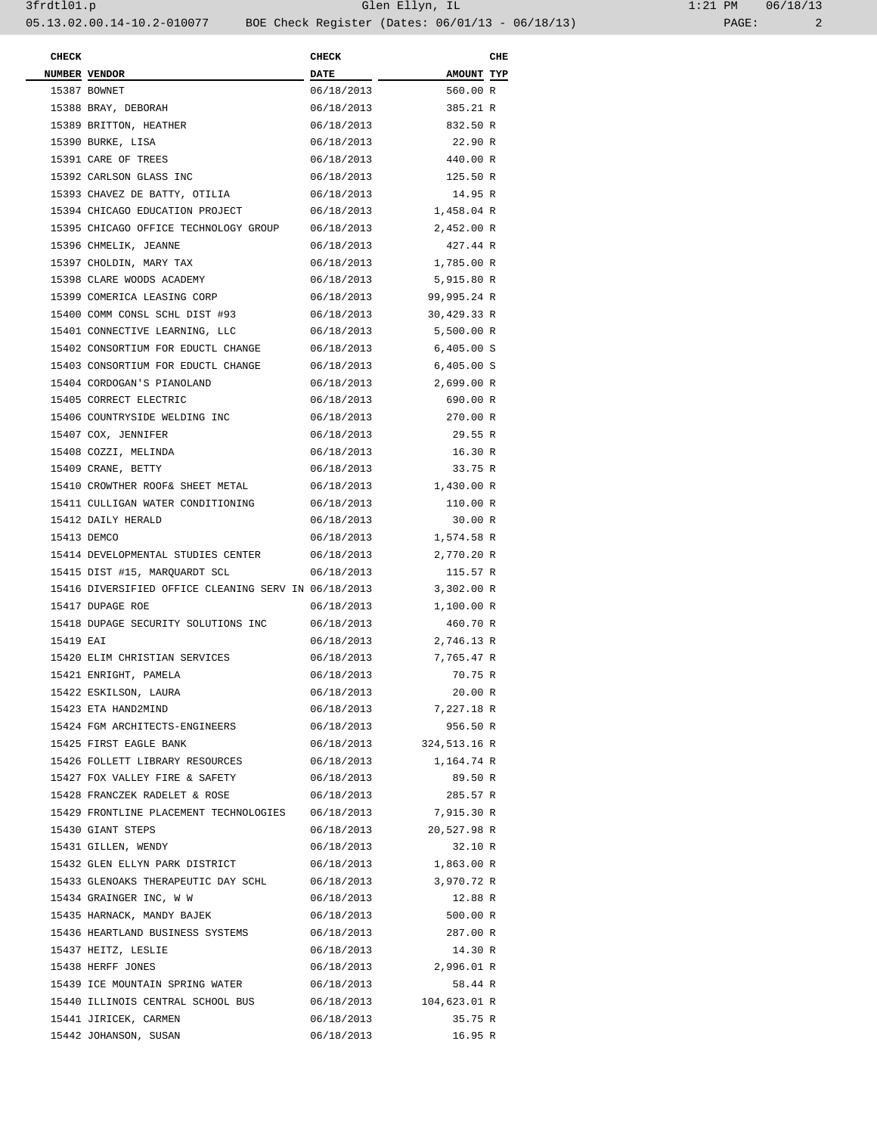| <b>CHECK</b> |                                                      | <b>CHECK</b> |                         | CHE |
|--------------|------------------------------------------------------|--------------|-------------------------|-----|
|              | NUMBER VENDOR                                        | <b>DATE</b>  | AMOUNT TYP              |     |
|              | 15387 BOWNET                                         | 06/18/2013   | 560.00 R                |     |
|              | 15388 BRAY, DEBORAH                                  | 06/18/2013   | 385.21 R                |     |
|              | 15389 BRITTON, HEATHER                               | 06/18/2013   | 832.50 R                |     |
|              | 15390 BURKE, LISA                                    | 06/18/2013   | 22.90 R                 |     |
|              | 15391 CARE OF TREES                                  | 06/18/2013   | 440.00 R                |     |
|              | 15392 CARLSON GLASS INC                              | 06/18/2013   | 125.50 R                |     |
|              | 15393 CHAVEZ DE BATTY, OTILIA                        | 06/18/2013   | 14.95 R                 |     |
|              | 15394 CHICAGO EDUCATION PROJECT                      | 06/18/2013   | 1,458.04 R              |     |
|              | 15395 CHICAGO OFFICE TECHNOLOGY GROUP                | 06/18/2013   | 2,452.00 R              |     |
|              | 15396 CHMELIK, JEANNE                                | 06/18/2013   | 427.44 R                |     |
|              | 15397 CHOLDIN, MARY TAX                              | 06/18/2013   | 1,785.00 R              |     |
|              | 15398 CLARE WOODS ACADEMY                            | 06/18/2013   | 5,915.80 R              |     |
|              | 15399 COMERICA LEASING CORP                          | 06/18/2013   | 99,995.24 R             |     |
|              | 15400 COMM CONSL SCHL DIST #93                       | 06/18/2013   | 30,429.33 R             |     |
|              | 15401 CONNECTIVE LEARNING, LLC                       | 06/18/2013   | 5,500.00 R              |     |
|              | 15402 CONSORTIUM FOR EDUCTL CHANGE                   | 06/18/2013   | 6,405.00 S              |     |
|              | 15403 CONSORTIUM FOR EDUCTL CHANGE                   | 06/18/2013   | $6,405.00$ S            |     |
|              | 15404 CORDOGAN'S PIANOLAND                           | 06/18/2013   | 2,699.00 R              |     |
|              | 15405 CORRECT ELECTRIC                               | 06/18/2013   | 690.00 R                |     |
|              |                                                      | 06/18/2013   |                         |     |
|              | 15406 COUNTRYSIDE WELDING INC                        |              | 270.00 R                |     |
|              | 15407 COX, JENNIFER                                  | 06/18/2013   | 29.55 R                 |     |
|              | 15408 COZZI, MELINDA                                 | 06/18/2013   | 16.30 R                 |     |
|              | 15409 CRANE, BETTY                                   | 06/18/2013   | 33.75 R                 |     |
|              | 15410 CROWTHER ROOF& SHEET METAL                     | 06/18/2013   | 1,430.00 R              |     |
|              | 15411 CULLIGAN WATER CONDITIONING                    | 06/18/2013   | 110.00 R                |     |
|              | 15412 DAILY HERALD                                   | 06/18/2013   | 30.00 R                 |     |
|              | 15413 DEMCO                                          | 06/18/2013   | 1,574.58 R              |     |
|              | 15414 DEVELOPMENTAL STUDIES CENTER                   | 06/18/2013   | 2,770.20 R              |     |
|              | 15415 DIST #15, MARQUARDT SCL                        | 06/18/2013   | 115.57 R                |     |
|              | 15416 DIVERSIFIED OFFICE CLEANING SERV IN 06/18/2013 |              | 3,302.00 R              |     |
|              | 15417 DUPAGE ROE                                     | 06/18/2013   | 1,100.00 R              |     |
|              | 15418 DUPAGE SECURITY SOLUTIONS INC                  | 06/18/2013   | 460.70 R                |     |
| 15419 EAI    |                                                      | 06/18/2013   | 2,746.13 R              |     |
|              | 15420 ELIM CHRISTIAN SERVICES                        | 06/18/2013   | 7,765.47 R              |     |
|              | 15421 ENRIGHT, PAMELA                                | 06/18/2013   | 70.75 R                 |     |
|              | 15422 ESKILSON, LAURA                                | 06/18/2013   | 20.00 R                 |     |
|              | 15423 ETA HAND2MIND                                  | 06/18/2013   | 7,227.18 R              |     |
|              | 15424 FGM ARCHITECTS-ENGINEERS                       | 06/18/2013   | 956.50 R                |     |
|              | 15425 FIRST EAGLE BANK                               |              | 06/18/2013 324,513.16 R |     |
|              | 15426 FOLLETT LIBRARY RESOURCES                      | 06/18/2013   | 1,164.74 R              |     |
|              | 15427 FOX VALLEY FIRE & SAFETY                       | 06/18/2013   | 89.50 R                 |     |
|              | 15428 FRANCZEK RADELET & ROSE                        | 06/18/2013   | 285.57 R                |     |
|              | 15429 FRONTLINE PLACEMENT TECHNOLOGIES               | 06/18/2013   | 7,915.30 R              |     |
|              | 15430 GIANT STEPS                                    | 06/18/2013   | 20,527.98 R             |     |
|              | 15431 GILLEN, WENDY                                  | 06/18/2013   | 32.10 R                 |     |
|              | 15432 GLEN ELLYN PARK DISTRICT                       | 06/18/2013   | 1,863.00 R              |     |
|              | 15433 GLENOAKS THERAPEUTIC DAY SCHL                  | 06/18/2013   | 3,970.72 R              |     |
|              | 15434 GRAINGER INC, W W                              | 06/18/2013   | 12.88 R                 |     |
|              | 15435 HARNACK, MANDY BAJEK                           | 06/18/2013   | 500.00 R                |     |
|              | 15436 HEARTLAND BUSINESS SYSTEMS                     | 06/18/2013   | 287.00 R                |     |
|              | 15437 HEITZ, LESLIE                                  | 06/18/2013   | 14.30 R                 |     |
|              | 15438 HERFF JONES                                    | 06/18/2013   | 2,996.01 R              |     |
|              | 15439 ICE MOUNTAIN SPRING WATER                      | 06/18/2013   | 58.44 R                 |     |
|              | 15440 ILLINOIS CENTRAL SCHOOL BUS                    |              | 06/18/2013 104,623.01 R |     |
|              | 15441 JIRICEK, CARMEN                                | 06/18/2013   | 35.75 R                 |     |
|              | 15442 JOHANSON, SUSAN                                | 06/18/2013   | 16.95 R                 |     |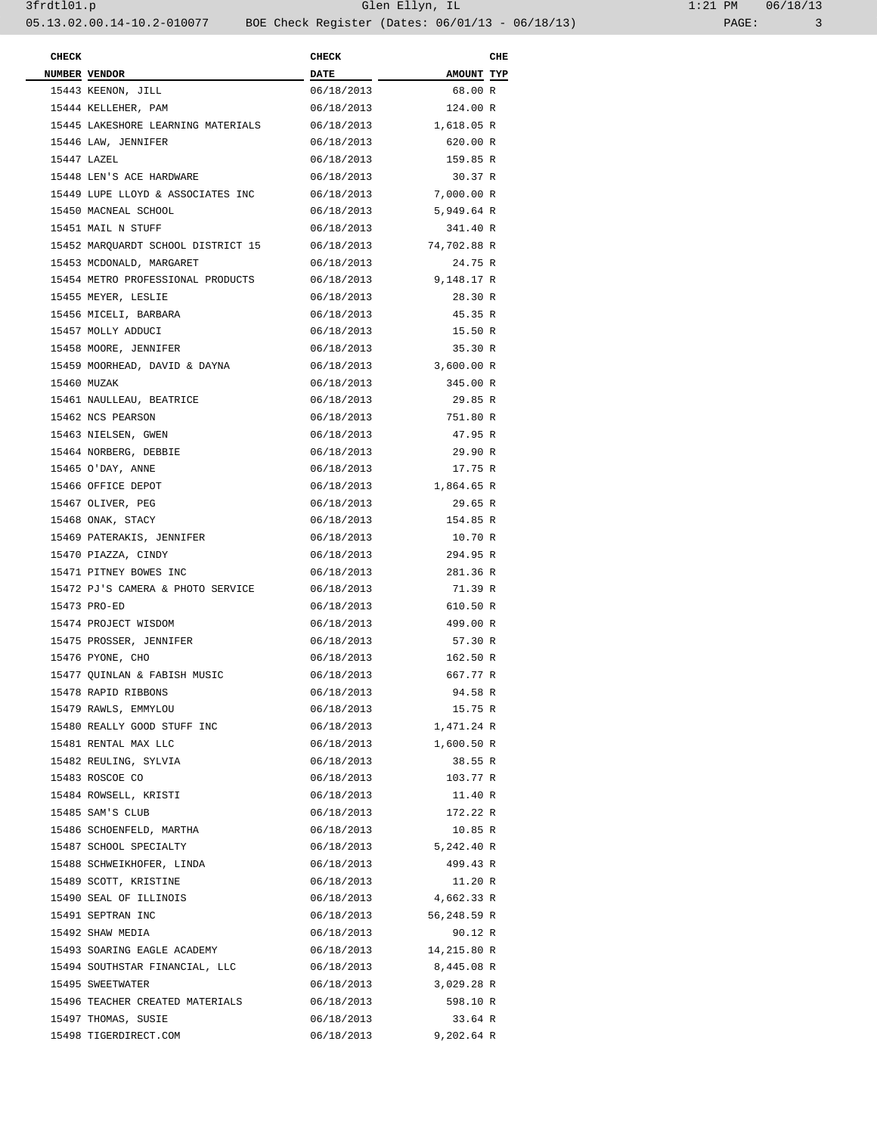| <b>CHECK</b> |                                    | <b>CHECK</b> |             | CHE |
|--------------|------------------------------------|--------------|-------------|-----|
|              | NUMBER VENDOR                      | <b>DATE</b>  | AMOUNT TYP  |     |
|              | 15443 KEENON, JILL                 | 06/18/2013   | 68.00 R     |     |
|              | 15444 KELLEHER, PAM                | 06/18/2013   | 124.00 R    |     |
|              | 15445 LAKESHORE LEARNING MATERIALS | 06/18/2013   | 1,618.05 R  |     |
|              | 15446 LAW, JENNIFER                | 06/18/2013   | 620.00 R    |     |
|              | 15447 LAZEL                        | 06/18/2013   | 159.85 R    |     |
|              | 15448 LEN'S ACE HARDWARE           | 06/18/2013   | 30.37 R     |     |
|              | 15449 LUPE LLOYD & ASSOCIATES INC  | 06/18/2013   | 7,000.00 R  |     |
|              | 15450 MACNEAL SCHOOL               | 06/18/2013   | 5,949.64 R  |     |
|              | 15451 MAIL N STUFF                 | 06/18/2013   | 341.40 R    |     |
|              | 15452 MARQUARDT SCHOOL DISTRICT 15 | 06/18/2013   | 74,702.88 R |     |
|              | 15453 MCDONALD, MARGARET           | 06/18/2013   | 24.75 R     |     |
|              | 15454 METRO PROFESSIONAL PRODUCTS  | 06/18/2013   | 9,148.17 R  |     |
|              | 15455 MEYER, LESLIE                | 06/18/2013   | 28.30 R     |     |
|              | 15456 MICELI, BARBARA              | 06/18/2013   | 45.35 R     |     |
|              | 15457 MOLLY ADDUCI                 | 06/18/2013   | 15.50 R     |     |
|              | 15458 MOORE, JENNIFER              |              |             |     |
|              |                                    | 06/18/2013   | 35.30 R     |     |
|              | 15459 MOORHEAD, DAVID & DAYNA      | 06/18/2013   | 3,600.00 R  |     |
|              | 15460 MUZAK                        | 06/18/2013   | 345.00 R    |     |
|              | 15461 NAULLEAU, BEATRICE           | 06/18/2013   | 29.85 R     |     |
|              | 15462 NCS PEARSON                  | 06/18/2013   | 751.80 R    |     |
|              | 15463 NIELSEN, GWEN                | 06/18/2013   | 47.95 R     |     |
|              | 15464 NORBERG, DEBBIE              | 06/18/2013   | 29.90 R     |     |
|              | 15465 O'DAY, ANNE                  | 06/18/2013   | 17.75 R     |     |
|              | 15466 OFFICE DEPOT                 | 06/18/2013   | 1,864.65 R  |     |
|              | 15467 OLIVER, PEG                  | 06/18/2013   | 29.65 R     |     |
|              | 15468 ONAK, STACY                  | 06/18/2013   | 154.85 R    |     |
|              | 15469 PATERAKIS, JENNIFER          | 06/18/2013   | 10.70 R     |     |
|              | 15470 PIAZZA, CINDY                | 06/18/2013   | 294.95 R    |     |
|              | 15471 PITNEY BOWES INC             | 06/18/2013   | 281.36 R    |     |
|              | 15472 PJ'S CAMERA & PHOTO SERVICE  | 06/18/2013   | 71.39 R     |     |
|              | 15473 PRO-ED                       | 06/18/2013   | 610.50 R    |     |
|              | 15474 PROJECT WISDOM               | 06/18/2013   | 499.00 R    |     |
|              | 15475 PROSSER, JENNIFER            | 06/18/2013   | 57.30 R     |     |
|              | 15476 PYONE, CHO                   | 06/18/2013   | 162.50 R    |     |
|              | 15477 OUINLAN & FABISH MUSIC       | 06/18/2013   | 667.77 R    |     |
|              | 15478 RAPID RIBBONS                | 06/18/2013   | 94.58 R     |     |
|              | 15479 RAWLS, EMMYLOU               | 06/18/2013   | 15.75 R     |     |
|              | 15480 REALLY GOOD STUFF INC        | 06/18/2013   | 1,471.24 R  |     |
|              | 15481 RENTAL MAX LLC               | 06/18/2013   | 1,600.50 R  |     |
|              | 15482 REULING, SYLVIA              | 06/18/2013   | 38.55 R     |     |
|              | 15483 ROSCOE CO                    | 06/18/2013   | 103.77 R    |     |
|              | 15484 ROWSELL, KRISTI              | 06/18/2013   | 11.40 R     |     |
|              | 15485 SAM'S CLUB                   | 06/18/2013   | 172.22 R    |     |
|              | 15486 SCHOENFELD, MARTHA           | 06/18/2013   | 10.85 R     |     |
|              | 15487 SCHOOL SPECIALTY             | 06/18/2013   | 5,242.40 R  |     |
|              | 15488 SCHWEIKHOFER, LINDA          | 06/18/2013   | 499.43 R    |     |
|              | 15489 SCOTT, KRISTINE              | 06/18/2013   | 11.20 R     |     |
|              | 15490 SEAL OF ILLINOIS             | 06/18/2013   | 4,662.33 R  |     |
|              | 15491 SEPTRAN INC                  | 06/18/2013   | 56,248.59 R |     |
|              | 15492 SHAW MEDIA                   | 06/18/2013   | 90.12 R     |     |
|              |                                    |              |             |     |
|              | 15493 SOARING EAGLE ACADEMY        | 06/18/2013   | 14,215.80 R |     |
|              | 15494 SOUTHSTAR FINANCIAL, LLC     | 06/18/2013   | 8,445.08 R  |     |
|              | 15495 SWEETWATER                   | 06/18/2013   | 3,029.28 R  |     |
|              | 15496 TEACHER CREATED MATERIALS    | 06/18/2013   | 598.10 R    |     |
|              | 15497 THOMAS, SUSIE                | 06/18/2013   | 33.64 R     |     |
|              | 15498 TIGERDIRECT.COM              | 06/18/2013   | 9,202.64 R  |     |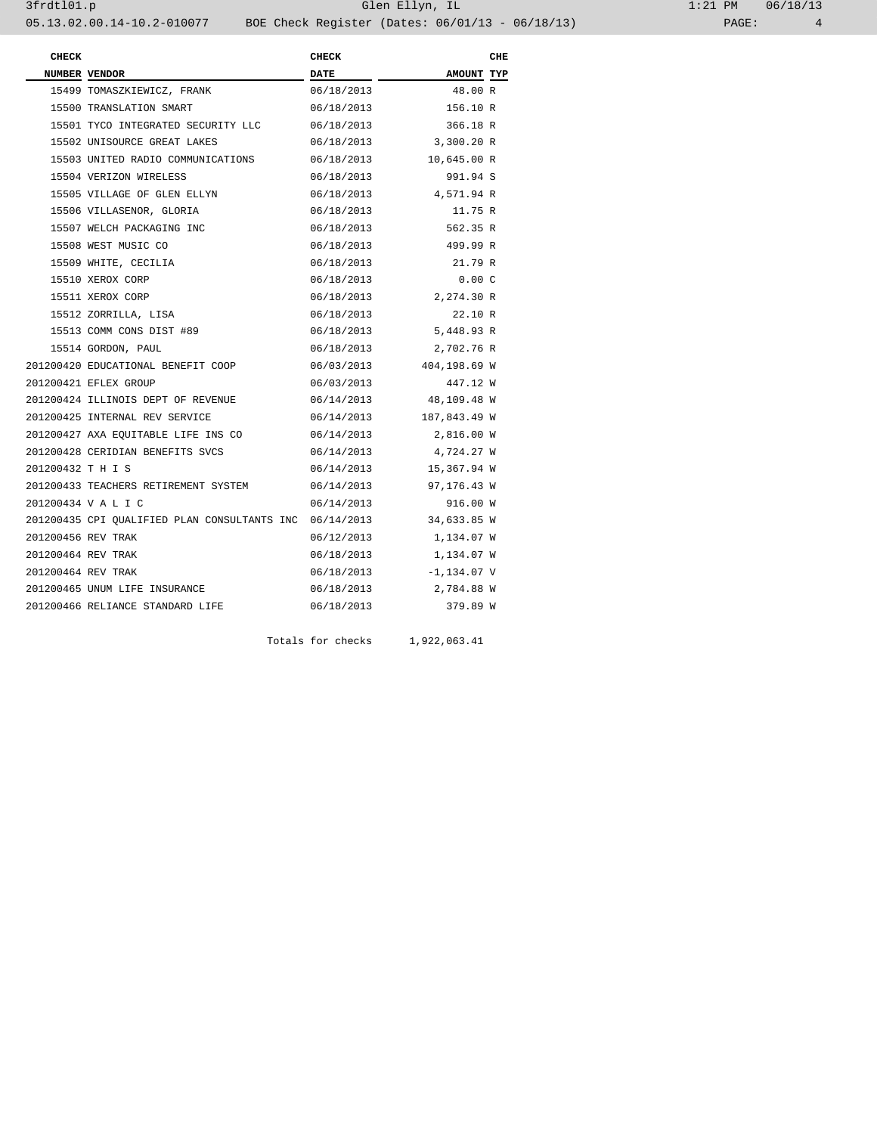| <b>CHECK</b>       |                                                                     | <b>CHECK</b> |                         | CHE |
|--------------------|---------------------------------------------------------------------|--------------|-------------------------|-----|
|                    | NUMBER VENDOR                                                       | <b>DATE</b>  | AMOUNT TYP              |     |
|                    | 15499 TOMASZKIEWICZ, FRANK                                          | 06/18/2013   | 48.00 R                 |     |
|                    | 15500 TRANSLATION SMART                                             | 06/18/2013   | 156.10 R                |     |
|                    | 15501 TYCO INTEGRATED SECURITY LLC 06/18/2013                       |              | 366.18 R                |     |
|                    | 15502 UNISOURCE GREAT LAKES                                         | 06/18/2013   | 3,300.20 R              |     |
|                    | 15503 UNITED RADIO COMMUNICATIONS 06/18/2013 10,645.00 R            |              |                         |     |
|                    | 15504 VERIZON WIRELESS                                              | 06/18/2013   | 991.94 S                |     |
|                    | 15505 VILLAGE OF GLEN ELLYN                                         | 06/18/2013   | 4,571.94 R              |     |
|                    | 15506 VILLASENOR, GLORIA                                            | 06/18/2013   | 11.75 R                 |     |
|                    | 15507 WELCH PACKAGING INC                                           | 06/18/2013   | 562.35 R                |     |
|                    | 15508 WEST MUSIC CO                                                 | 06/18/2013   | 499.99 R                |     |
|                    | 15509 WHITE, CECILIA                                                | 06/18/2013   | 21.79 R                 |     |
|                    | 15510 XEROX CORP                                                    | 06/18/2013   | 0.00C                   |     |
|                    | 15511 XEROX CORP                                                    | 06/18/2013   | 2,274.30 R              |     |
|                    | 15512 ZORRILLA, LISA                                                | 06/18/2013   | 22.10 R                 |     |
|                    | 15513 COMM CONS DIST #89                                            | 06/18/2013   | 5,448.93 R              |     |
|                    | 15514 GORDON, PAUL                                                  | 06/18/2013   | 2,702.76 R              |     |
|                    | 201200420 EDUCATIONAL BENEFIT COOP                                  |              | 06/03/2013 404,198.69 W |     |
|                    | 201200421 EFLEX GROUP                                               | 06/03/2013   | 447.12 W                |     |
|                    | 201200424 ILLINOIS DEPT OF REVENUE                                  | 06/14/2013   | 48,109.48 W             |     |
|                    | 201200425 INTERNAL REV SERVICE                                      |              | 06/14/2013 187,843.49 W |     |
|                    |                                                                     |              | 2,816.00 W              |     |
|                    | 201200428 CERIDIAN BENEFITS SVCS                                    |              | 06/14/2013 4,724.27 W   |     |
| 201200432 T H I S  |                                                                     | 06/14/2013   | 15,367.94 W             |     |
|                    | 201200433 TEACHERS RETIREMENT SYSTEM                                | 06/14/2013   | 97,176.43 W             |     |
|                    | 201200434 V A L I C                                                 | 06/14/2013   | 916.00 W                |     |
|                    | 201200435 CPI QUALIFIED PLAN CONSULTANTS INC 06/14/2013 34,633.85 W |              |                         |     |
| 201200456 REV TRAK |                                                                     | 06/12/2013   | 1,134.07 W              |     |
| 201200464 REV TRAK |                                                                     | 06/18/2013   | 1,134.07 W              |     |
| 201200464 REV TRAK |                                                                     |              | 06/18/2013 -1,134.07 V  |     |
|                    | 201200465 UNUM LIFE INSURANCE                                       | 06/18/2013   | 2,784.88 W              |     |
|                    | 201200466 RELIANCE STANDARD LIFE                                    | 06/18/2013   | 379.89 W                |     |

Totals for checks 1,922,063.41